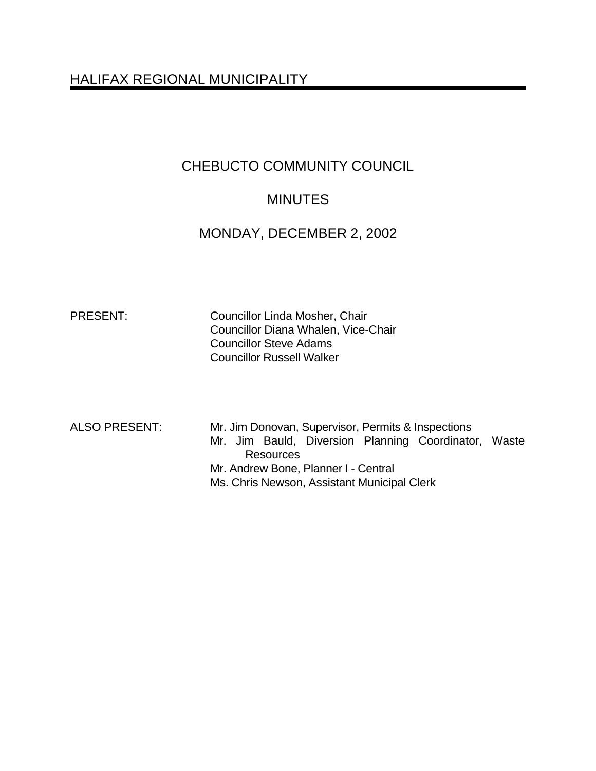# HALIFAX REGIONAL MUNICIPALITY

# CHEBUCTO COMMUNITY COUNCIL

# **MINUTES**

## MONDAY, DECEMBER 2, 2002

PRESENT: Councillor Linda Mosher, Chair Councillor Diana Whalen, Vice-Chair Councillor Steve Adams Councillor Russell Walker

ALSO PRESENT: Mr. Jim Donovan, Supervisor, Permits & Inspections Mr. Jim Bauld, Diversion Planning Coordinator, Waste **Resources** Mr. Andrew Bone, Planner I - Central Ms. Chris Newson, Assistant Municipal Clerk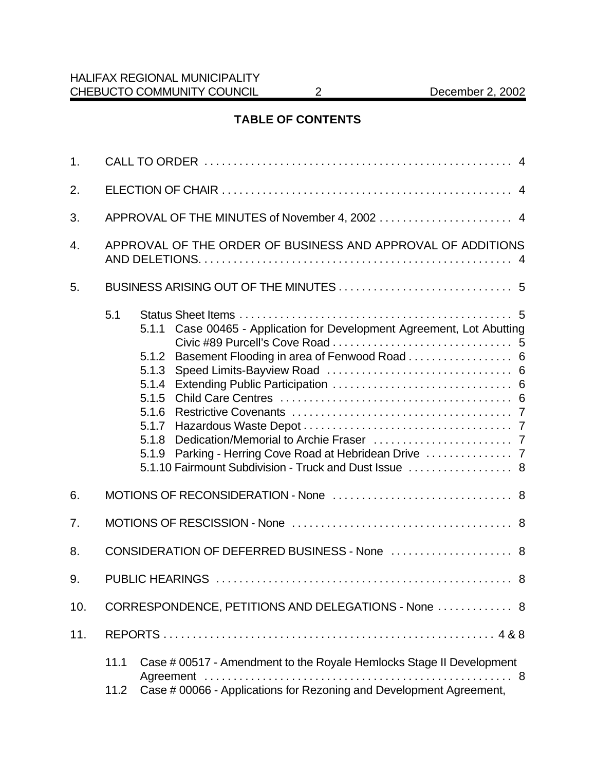## **TABLE OF CONTENTS**

| 1.  |                                                             |                                                                                                                                                                                                          |  |
|-----|-------------------------------------------------------------|----------------------------------------------------------------------------------------------------------------------------------------------------------------------------------------------------------|--|
| 2.  |                                                             |                                                                                                                                                                                                          |  |
| 3.  | APPROVAL OF THE MINUTES of November 4, 2002  4              |                                                                                                                                                                                                          |  |
| 4.  | APPROVAL OF THE ORDER OF BUSINESS AND APPROVAL OF ADDITIONS |                                                                                                                                                                                                          |  |
| 5.  |                                                             |                                                                                                                                                                                                          |  |
|     | 5.1                                                         | 5.1.1 Case 00465 - Application for Development Agreement, Lot Abutting<br>5.1.2<br>5.1.3<br>5.1.4<br>5.1.5<br>5.1.6<br>5.1.7<br>5.1.8<br>5.1.9<br>5.1.10 Fairmount Subdivision - Truck and Dust Issue  8 |  |
| 6.  |                                                             |                                                                                                                                                                                                          |  |
| 7.  |                                                             |                                                                                                                                                                                                          |  |
| 8.  | CONSIDERATION OF DEFERRED BUSINESS - None  8                |                                                                                                                                                                                                          |  |
| 9.  |                                                             |                                                                                                                                                                                                          |  |
| 10. | CORRESPONDENCE, PETITIONS AND DELEGATIONS - None  8         |                                                                                                                                                                                                          |  |
| 11. |                                                             |                                                                                                                                                                                                          |  |
|     | 11.1<br>11.2                                                | Case # 00517 - Amendment to the Royale Hemlocks Stage II Development<br>Case # 00066 - Applications for Rezoning and Development Agreement,                                                              |  |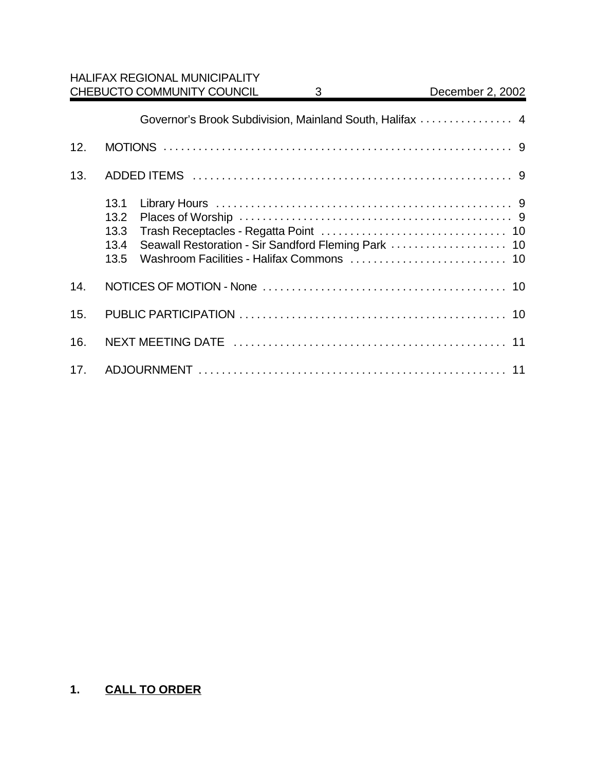|     | Governor's Brook Subdivision, Mainland South, Halifax  4 |  |
|-----|----------------------------------------------------------|--|
| 12. |                                                          |  |
| 13. |                                                          |  |
|     | 13.1<br>13.2<br>13.3<br>13.4<br>13.5                     |  |
| 14. |                                                          |  |
| 15. |                                                          |  |
| 16. |                                                          |  |
| 17. |                                                          |  |

# **1. CALL TO ORDER**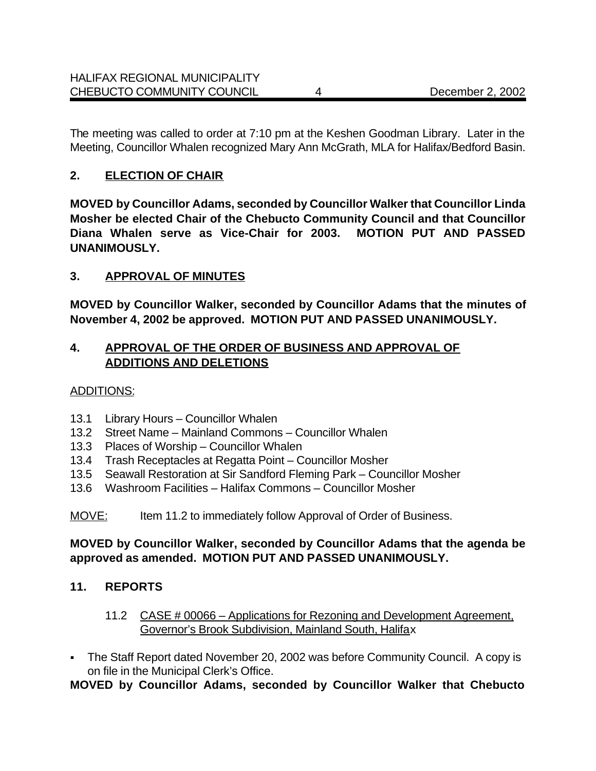The meeting was called to order at 7:10 pm at the Keshen Goodman Library. Later in the Meeting, Councillor Whalen recognized Mary Ann McGrath, MLA for Halifax/Bedford Basin.

## **2. ELECTION OF CHAIR**

**MOVED by Councillor Adams, seconded by Councillor Walker that Councillor Linda Mosher be elected Chair of the Chebucto Community Council and that Councillor Diana Whalen serve as Vice-Chair for 2003. MOTION PUT AND PASSED UNANIMOUSLY.**

## **3. APPROVAL OF MINUTES**

**MOVED by Councillor Walker, seconded by Councillor Adams that the minutes of November 4, 2002 be approved. MOTION PUT AND PASSED UNANIMOUSLY.**

## **4. APPROVAL OF THE ORDER OF BUSINESS AND APPROVAL OF ADDITIONS AND DELETIONS**

## ADDITIONS:

- 13.1 Library Hours Councillor Whalen
- 13.2 Street Name Mainland Commons Councillor Whalen
- 13.3 Places of Worship Councillor Whalen
- 13.4 Trash Receptacles at Regatta Point Councillor Mosher
- 13.5 Seawall Restoration at Sir Sandford Fleming Park Councillor Mosher
- 13.6 Washroom Facilities Halifax Commons Councillor Mosher
- MOVE: Item 11.2 to immediately follow Approval of Order of Business.

## **MOVED by Councillor Walker, seconded by Councillor Adams that the agenda be approved as amended. MOTION PUT AND PASSED UNANIMOUSLY.**

## **11. REPORTS**

- 11.2 CASE # 00066 Applications for Rezoning and Development Agreement, Governor's Brook Subdivision, Mainland South, Halifax
- The Staff Report dated November 20, 2002 was before Community Council. A copy is on file in the Municipal Clerk's Office.

## **MOVED by Councillor Adams, seconded by Councillor Walker that Chebucto**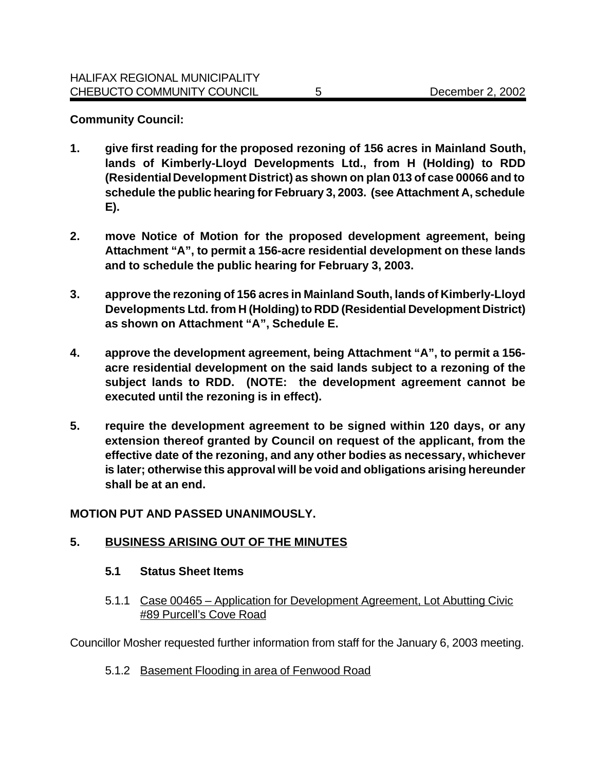#### **Community Council:**

- **1. give first reading for the proposed rezoning of 156 acres in Mainland South, lands of Kimberly-Lloyd Developments Ltd., from H (Holding) to RDD (Residential Development District) as shown on plan 013 of case 00066 and to schedule the public hearing for February 3, 2003. (see Attachment A, schedule E).**
- **2. move Notice of Motion for the proposed development agreement, being Attachment "A", to permit a 156-acre residential development on these lands and to schedule the public hearing for February 3, 2003.**
- **3. approve the rezoning of 156 acres in Mainland South, lands of Kimberly-Lloyd Developments Ltd. from H (Holding) to RDD (Residential Development District) as shown on Attachment "A", Schedule E.**
- **4. approve the development agreement, being Attachment "A", to permit a 156 acre residential development on the said lands subject to a rezoning of the subject lands to RDD. (NOTE: the development agreement cannot be executed until the rezoning is in effect).**
- **5. require the development agreement to be signed within 120 days, or any extension thereof granted by Council on request of the applicant, from the effective date of the rezoning, and any other bodies as necessary, whichever is later; otherwise this approval will be void and obligations arising hereunder shall be at an end.**

#### **MOTION PUT AND PASSED UNANIMOUSLY.**

## **5. BUSINESS ARISING OUT OF THE MINUTES**

#### **5.1 Status Sheet Items**

5.1.1 Case 00465 – Application for Development Agreement, Lot Abutting Civic #89 Purcell's Cove Road

Councillor Mosher requested further information from staff for the January 6, 2003 meeting.

5.1.2 Basement Flooding in area of Fenwood Road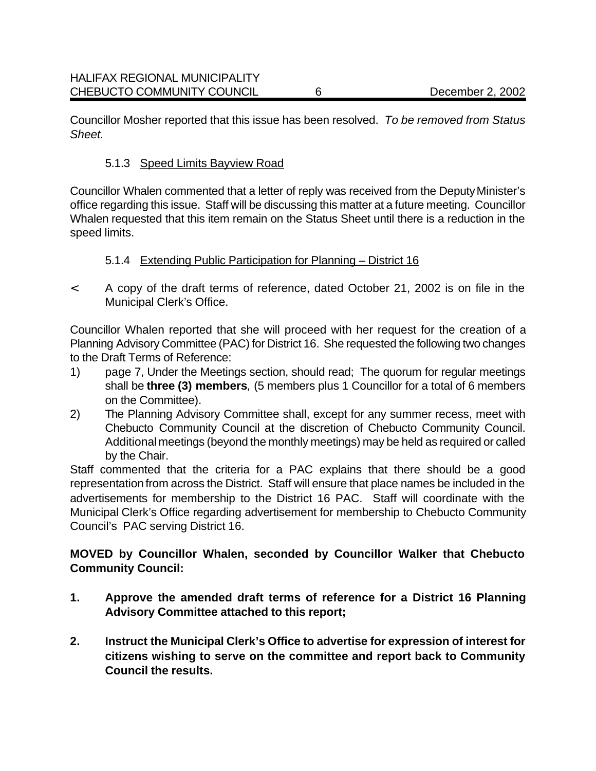Councillor Mosher reported that this issue has been resolved. *To be removed from Status Sheet.*

#### 5.1.3 Speed Limits Bayview Road

Councillor Whalen commented that a letter of reply was received from the Deputy Minister's office regarding this issue. Staff will be discussing this matter at a future meeting. Councillor Whalen requested that this item remain on the Status Sheet until there is a reduction in the speed limits.

#### 5.1.4 Extending Public Participation for Planning – District 16

< A copy of the draft terms of reference, dated October 21, 2002 is on file in the Municipal Clerk's Office.

Councillor Whalen reported that she will proceed with her request for the creation of a Planning Advisory Committee (PAC) for District 16. She requested the following two changes to the Draft Terms of Reference:

- 1) page 7, Under the Meetings section, should read; The quorum for regular meetings shall be **three (3) members***,* (5 members plus 1 Councillor for a total of 6 members on the Committee).
- 2) The Planning Advisory Committee shall, except for any summer recess, meet with Chebucto Community Council at the discretion of Chebucto Community Council. Additional meetings (beyond the monthly meetings) may be held as required or called by the Chair.

Staff commented that the criteria for a PAC explains that there should be a good representation from across the District. Staff will ensure that place names be included in the advertisements for membership to the District 16 PAC. Staff will coordinate with the Municipal Clerk's Office regarding advertisement for membership to Chebucto Community Council's PAC serving District 16.

## **MOVED by Councillor Whalen, seconded by Councillor Walker that Chebucto Community Council:**

- **1. Approve the amended draft terms of reference for a District 16 Planning Advisory Committee attached to this report;**
- **2. Instruct the Municipal Clerk's Office to advertise for expression of interest for citizens wishing to serve on the committee and report back to Community Council the results.**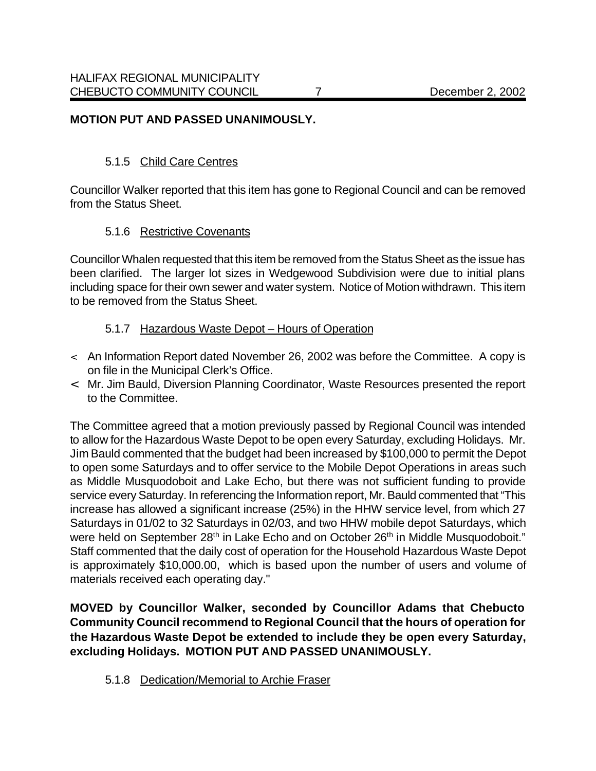#### **MOTION PUT AND PASSED UNANIMOUSLY.**

#### 5.1.5 Child Care Centres

Councillor Walker reported that this item has gone to Regional Council and can be removed from the Status Sheet.

#### 5.1.6 Restrictive Covenants

Councillor Whalen requested that this item be removed from the Status Sheet as the issue has been clarified. The larger lot sizes in Wedgewood Subdivision were due to initial plans including space for their own sewer and water system. Notice of Motion withdrawn. This item to be removed from the Status Sheet.

#### 5.1.7 Hazardous Waste Depot – Hours of Operation

- < An Information Report dated November 26, 2002 was before the Committee. A copy is on file in the Municipal Clerk's Office.
- < Mr. Jim Bauld, Diversion Planning Coordinator, Waste Resources presented the report to the Committee.

The Committee agreed that a motion previously passed by Regional Council was intended to allow for the Hazardous Waste Depot to be open every Saturday, excluding Holidays. Mr. Jim Bauld commented that the budget had been increased by \$100,000 to permit the Depot to open some Saturdays and to offer service to the Mobile Depot Operations in areas such as Middle Musquodoboit and Lake Echo, but there was not sufficient funding to provide service every Saturday. In referencing the Information report, Mr. Bauld commented that "This increase has allowed a significant increase (25%) in the HHW service level, from which 27 Saturdays in 01/02 to 32 Saturdays in 02/03, and two HHW mobile depot Saturdays, which were held on September 28<sup>th</sup> in Lake Echo and on October 26<sup>th</sup> in Middle Musquodoboit." Staff commented that the daily cost of operation for the Household Hazardous Waste Depot is approximately \$10,000.00, which is based upon the number of users and volume of materials received each operating day."

**MOVED by Councillor Walker, seconded by Councillor Adams that Chebucto Community Council recommend to Regional Council that the hours of operation for the Hazardous Waste Depot be extended to include they be open every Saturday, excluding Holidays. MOTION PUT AND PASSED UNANIMOUSLY.**

5.1.8 Dedication/Memorial to Archie Fraser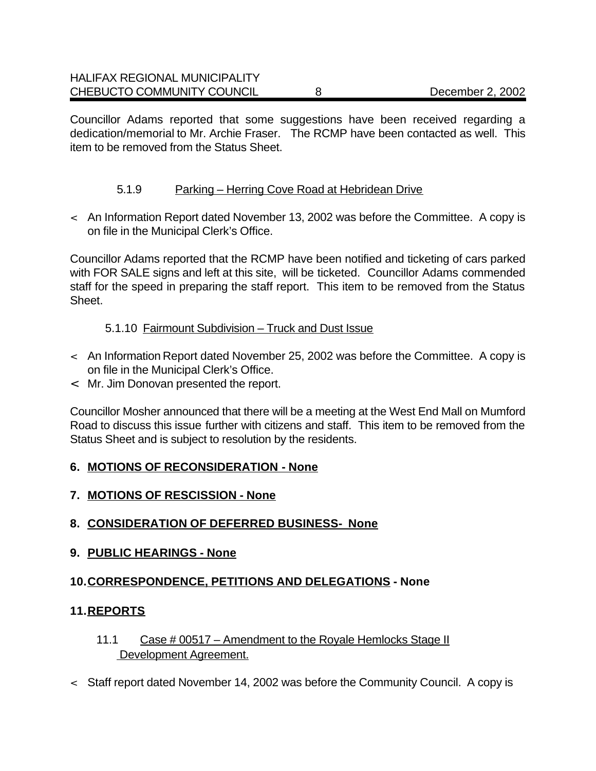Councillor Adams reported that some suggestions have been received regarding a dedication/memorial to Mr. Archie Fraser. The RCMP have been contacted as well. This item to be removed from the Status Sheet.

## 5.1.9 Parking – Herring Cove Road at Hebridean Drive

< An Information Report dated November 13, 2002 was before the Committee. A copy is on file in the Municipal Clerk's Office.

Councillor Adams reported that the RCMP have been notified and ticketing of cars parked with FOR SALE signs and left at this site, will be ticketed. Councillor Adams commended staff for the speed in preparing the staff report. This item to be removed from the Status Sheet.

## 5.1.10 Fairmount Subdivision – Truck and Dust Issue

- < An Information Report dated November 25, 2002 was before the Committee. A copy is on file in the Municipal Clerk's Office.
- < Mr. Jim Donovan presented the report.

Councillor Mosher announced that there will be a meeting at the West End Mall on Mumford Road to discuss this issue further with citizens and staff. This item to be removed from the Status Sheet and is subject to resolution by the residents.

## **6. MOTIONS OF RECONSIDERATION - None**

- **7. MOTIONS OF RESCISSION None**
- **8. CONSIDERATION OF DEFERRED BUSINESS- None**
- **9. PUBLIC HEARINGS None**

## **10.CORRESPONDENCE, PETITIONS AND DELEGATIONS - None**

## **11.REPORTS**

- 11.1 Case # 00517 Amendment to the Royale Hemlocks Stage II Development Agreement.
- < Staff report dated November 14, 2002 was before the Community Council. A copy is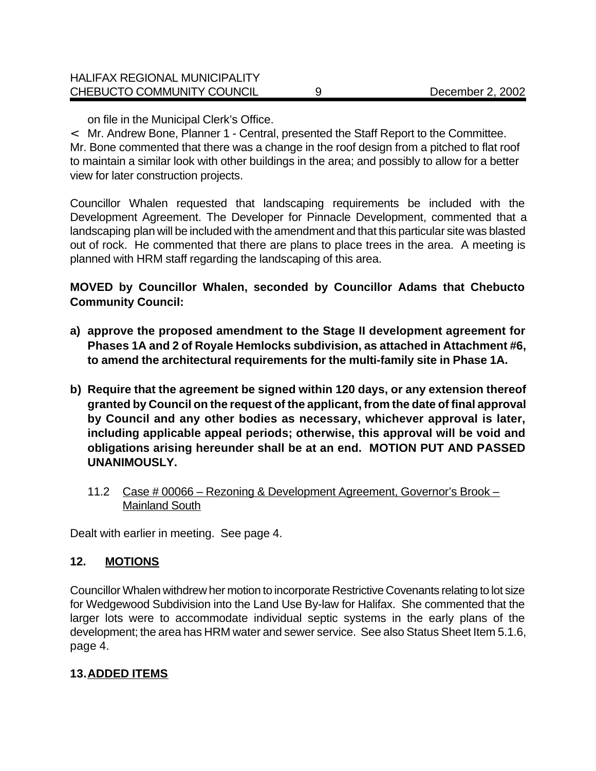on file in the Municipal Clerk's Office.

< Mr. Andrew Bone, Planner 1 - Central, presented the Staff Report to the Committee. Mr. Bone commented that there was a change in the roof design from a pitched to flat roof to maintain a similar look with other buildings in the area; and possibly to allow for a better view for later construction projects.

Councillor Whalen requested that landscaping requirements be included with the Development Agreement. The Developer for Pinnacle Development, commented that a landscaping plan will be included with the amendment and that this particular site was blasted out of rock. He commented that there are plans to place trees in the area. A meeting is planned with HRM staff regarding the landscaping of this area.

**MOVED by Councillor Whalen, seconded by Councillor Adams that Chebucto Community Council:**

- **a) approve the proposed amendment to the Stage II development agreement for Phases 1A and 2 of Royale Hemlocks subdivision, as attached in Attachment #6, to amend the architectural requirements for the multi-family site in Phase 1A.**
- **b) Require that the agreement be signed within 120 days, or any extension thereof granted by Council on the request of the applicant, from the date of final approval by Council and any other bodies as necessary, whichever approval is later, including applicable appeal periods; otherwise, this approval will be void and obligations arising hereunder shall be at an end. MOTION PUT AND PASSED UNANIMOUSLY.** 
	- 11.2 Case # 00066 Rezoning & Development Agreement, Governor's Brook Mainland South

Dealt with earlier in meeting. See page 4.

#### **12. MOTIONS**

Councillor Whalen withdrew her motion to incorporate Restrictive Covenants relating to lot size for Wedgewood Subdivision into the Land Use By-law for Halifax. She commented that the larger lots were to accommodate individual septic systems in the early plans of the development; the area has HRM water and sewer service. See also Status Sheet Item 5.1.6, page 4.

## **13.ADDED ITEMS**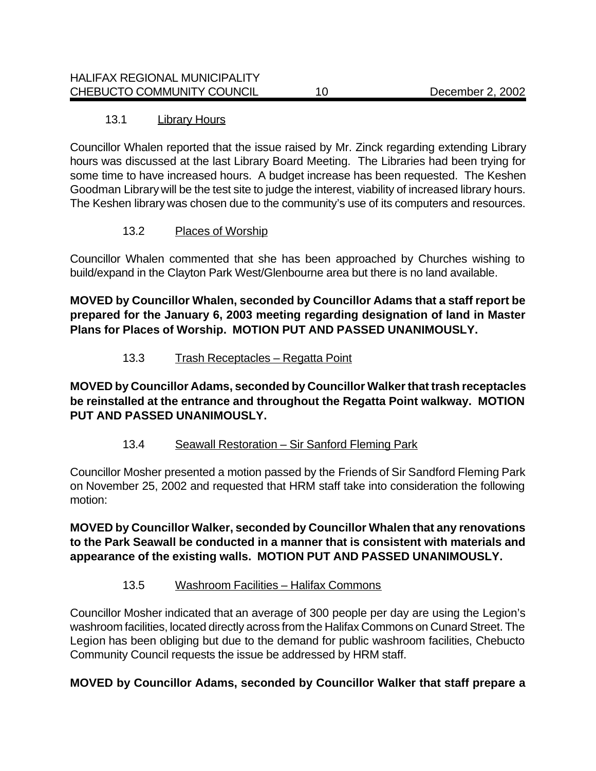## 13.1 Library Hours

Councillor Whalen reported that the issue raised by Mr. Zinck regarding extending Library hours was discussed at the last Library Board Meeting. The Libraries had been trying for some time to have increased hours. A budget increase has been requested. The Keshen Goodman Library will be the test site to judge the interest, viability of increased library hours. The Keshen library was chosen due to the community's use of its computers and resources.

## 13.2 Places of Worship

Councillor Whalen commented that she has been approached by Churches wishing to build/expand in the Clayton Park West/Glenbourne area but there is no land available.

**MOVED by Councillor Whalen, seconded by Councillor Adams that a staff report be prepared for the January 6, 2003 meeting regarding designation of land in Master Plans for Places of Worship. MOTION PUT AND PASSED UNANIMOUSLY.**

## 13.3 Trash Receptacles – Regatta Point

**MOVED by Councillor Adams, seconded by Councillor Walker that trash receptacles be reinstalled at the entrance and throughout the Regatta Point walkway. MOTION PUT AND PASSED UNANIMOUSLY.**

## 13.4 Seawall Restoration - Sir Sanford Fleming Park

Councillor Mosher presented a motion passed by the Friends of Sir Sandford Fleming Park on November 25, 2002 and requested that HRM staff take into consideration the following motion:

**MOVED by Councillor Walker, seconded by Councillor Whalen that any renovations to the Park Seawall be conducted in a manner that is consistent with materials and appearance of the existing walls. MOTION PUT AND PASSED UNANIMOUSLY.**

## 13.5 Washroom Facilities – Halifax Commons

Councillor Mosher indicated that an average of 300 people per day are using the Legion's washroom facilities, located directly across from the Halifax Commons on Cunard Street. The Legion has been obliging but due to the demand for public washroom facilities, Chebucto Community Council requests the issue be addressed by HRM staff.

## **MOVED by Councillor Adams, seconded by Councillor Walker that staff prepare a**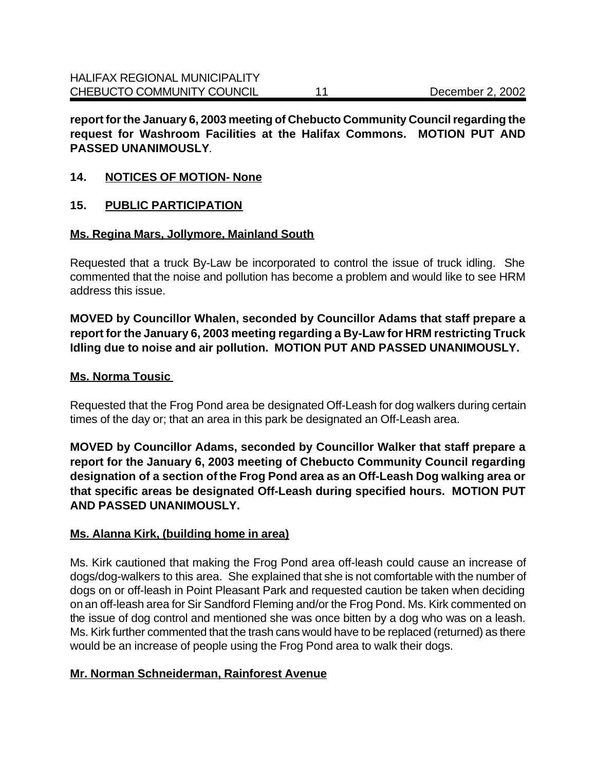**report for the January 6, 2003 meeting of Chebucto Community Council regarding the request for Washroom Facilities at the Halifax Commons. MOTION PUT AND PASSED UNANIMOUSLY**.

#### **14. NOTICES OF MOTION- None**

#### **15. PUBLIC PARTICIPATION**

#### **Ms. Regina Mars, Jollymore, Mainland South**

Requested that a truck By-Law be incorporated to control the issue of truck idling. She commented that the noise and pollution has become a problem and would like to see HRM address this issue.

**MOVED by Councillor Whalen, seconded by Councillor Adams that staff prepare a report for the January 6, 2003 meeting regarding a By-Law for HRM restricting Truck Idling due to noise and air pollution. MOTION PUT AND PASSED UNANIMOUSLY.**

#### **Ms. Norma Tousic**

Requested that the Frog Pond area be designated Off-Leash for dog walkers during certain times of the day or; that an area in this park be designated an Off-Leash area.

**MOVED by Councillor Adams, seconded by Councillor Walker that staff prepare a report for the January 6, 2003 meeting of Chebucto Community Council regarding designation of a section of the Frog Pond area as an Off-Leash Dog walking area or that specific areas be designated Off-Leash during specified hours. MOTION PUT AND PASSED UNANIMOUSLY.**

## **Ms. Alanna Kirk, (building home in area)**

Ms. Kirk cautioned that making the Frog Pond area off-leash could cause an increase of dogs/dog-walkers to this area. She explained that she is not comfortable with the number of dogs on or off-leash in Point Pleasant Park and requested caution be taken when deciding on an off-leash area for Sir Sandford Fleming and/or the Frog Pond. Ms. Kirk commented on the issue of dog control and mentioned she was once bitten by a dog who was on a leash. Ms. Kirk further commented that the trash cans would have to be replaced (returned) as there would be an increase of people using the Frog Pond area to walk their dogs.

## **Mr. Norman Schneiderman, Rainforest Avenue**